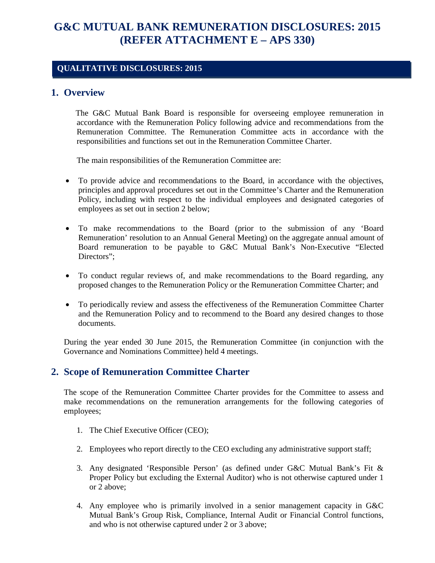# **G&C MUTUAL BANK REMUNERATION DISCLOSURES: 2015 (REFER ATTACHMENT E – APS 330)**

#### **QUALITATIVE DISCLOSURES: 2015**

#### **1. Overview**

 The G&C Mutual Bank Board is responsible for overseeing employee remuneration in accordance with the Remuneration Policy following advice and recommendations from the Remuneration Committee. The Remuneration Committee acts in accordance with the responsibilities and functions set out in the Remuneration Committee Charter.

The main responsibilities of the Remuneration Committee are:

- To provide advice and recommendations to the Board, in accordance with the objectives, principles and approval procedures set out in the Committee's Charter and the Remuneration Policy, including with respect to the individual employees and designated categories of employees as set out in section 2 below;
- To make recommendations to the Board (prior to the submission of any 'Board Remuneration' resolution to an Annual General Meeting) on the aggregate annual amount of Board remuneration to be payable to G&C Mutual Bank's Non-Executive "Elected Directors":
- To conduct regular reviews of, and make recommendations to the Board regarding, any proposed changes to the Remuneration Policy or the Remuneration Committee Charter; and
- To periodically review and assess the effectiveness of the Remuneration Committee Charter and the Remuneration Policy and to recommend to the Board any desired changes to those documents.

During the year ended 30 June 2015, the Remuneration Committee (in conjunction with the Governance and Nominations Committee) held 4 meetings.

#### **2. Scope of Remuneration Committee Charter**

The scope of the Remuneration Committee Charter provides for the Committee to assess and make recommendations on the remuneration arrangements for the following categories of employees;

- 1. The Chief Executive Officer (CEO);
- 2. Employees who report directly to the CEO excluding any administrative support staff;
- 3. Any designated 'Responsible Person' (as defined under G&C Mutual Bank's Fit & Proper Policy but excluding the External Auditor) who is not otherwise captured under 1 or 2 above;
- 4. Any employee who is primarily involved in a senior management capacity in G&C Mutual Bank's Group Risk, Compliance, Internal Audit or Financial Control functions, and who is not otherwise captured under 2 or 3 above;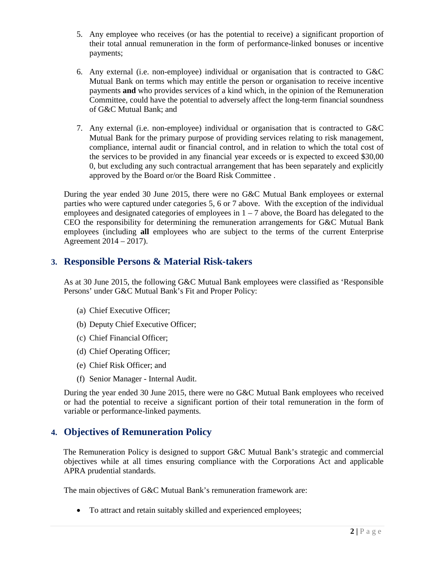- 5. Any employee who receives (or has the potential to receive) a significant proportion of their total annual remuneration in the form of performance-linked bonuses or incentive payments;
- 6. Any external (i.e. non-employee) individual or organisation that is contracted to G&C Mutual Bank on terms which may entitle the person or organisation to receive incentive payments **and** who provides services of a kind which, in the opinion of the Remuneration Committee, could have the potential to adversely affect the long-term financial soundness of G&C Mutual Bank; and
- 7. Any external (i.e. non-employee) individual or organisation that is contracted to G&C Mutual Bank for the primary purpose of providing services relating to risk management, compliance, internal audit or financial control, and in relation to which the total cost of the services to be provided in any financial year exceeds or is expected to exceed \$30,00 0, but excluding any such contractual arrangement that has been separately and explicitly approved by the Board or/or the Board Risk Committee .

During the year ended 30 June 2015, there were no G&C Mutual Bank employees or external parties who were captured under categories 5, 6 or 7 above. With the exception of the individual employees and designated categories of employees in  $1 - 7$  above, the Board has delegated to the CEO the responsibility for determining the remuneration arrangements for G&C Mutual Bank employees (including **all** employees who are subject to the terms of the current Enterprise Agreement 2014 – 2017).

### **3. Responsible Persons & Material Risk-takers**

As at 30 June 2015, the following G&C Mutual Bank employees were classified as 'Responsible Persons' under G&C Mutual Bank's Fit and Proper Policy:

- (a) Chief Executive Officer;
- (b) Deputy Chief Executive Officer;
- (c) Chief Financial Officer;
- (d) Chief Operating Officer;
- (e) Chief Risk Officer; and
- (f) Senior Manager Internal Audit.

During the year ended 30 June 2015, there were no G&C Mutual Bank employees who received or had the potential to receive a significant portion of their total remuneration in the form of variable or performance-linked payments.

## **4. Objectives of Remuneration Policy**

 The Remuneration Policy is designed to support G&C Mutual Bank's strategic and commercial objectives while at all times ensuring compliance with the Corporations Act and applicable APRA prudential standards.

The main objectives of G&C Mutual Bank's remuneration framework are:

• To attract and retain suitably skilled and experienced employees;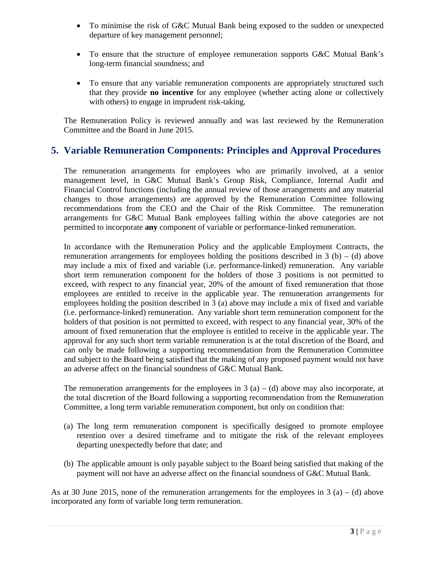- To minimise the risk of G&C Mutual Bank being exposed to the sudden or unexpected departure of key management personnel;
- To ensure that the structure of employee remuneration supports G&C Mutual Bank's long-term financial soundness; and
- To ensure that any variable remuneration components are appropriately structured such that they provide **no incentive** for any employee (whether acting alone or collectively with others) to engage in imprudent risk-taking.

The Remuneration Policy is reviewed annually and was last reviewed by the Remuneration Committee and the Board in June 2015.

## **5. Variable Remuneration Components: Principles and Approval Procedures**

The remuneration arrangements for employees who are primarily involved, at a senior management level, in G&C Mutual Bank's Group Risk, Compliance, Internal Audit and Financial Control functions (including the annual review of those arrangements and any material changes to those arrangements) are approved by the Remuneration Committee following recommendations from the CEO and the Chair of the Risk Committee. The remuneration arrangements for G&C Mutual Bank employees falling within the above categories are not permitted to incorporate **any** component of variable or performance-linked remuneration.

In accordance with the Remuneration Policy and the applicable Employment Contracts, the remuneration arrangements for employees holding the positions described in  $3$  (b) – (d) above may include a mix of fixed and variable (i.e. performance-linked) remuneration. Any variable short term remuneration component for the holders of those 3 positions is not permitted to exceed, with respect to any financial year, 20% of the amount of fixed remuneration that those employees are entitled to receive in the applicable year. The remuneration arrangements for employees holding the position described in 3 (a) above may include a mix of fixed and variable (i.e. performance-linked) remuneration. Any variable short term remuneration component for the holders of that position is not permitted to exceed, with respect to any financial year, 30% of the amount of fixed remuneration that the employee is entitled to receive in the applicable year. The approval for any such short term variable remuneration is at the total discretion of the Board, and can only be made following a supporting recommendation from the Remuneration Committee and subject to the Board being satisfied that the making of any proposed payment would not have an adverse affect on the financial soundness of G&C Mutual Bank.

The remuneration arrangements for the employees in 3 (a) – (d) above may also incorporate, at the total discretion of the Board following a supporting recommendation from the Remuneration Committee, a long term variable remuneration component, but only on condition that:

- (a) The long term remuneration component is specifically designed to promote employee retention over a desired timeframe and to mitigate the risk of the relevant employees departing unexpectedly before that date; and
- (b) The applicable amount is only payable subject to the Board being satisfied that making of the payment will not have an adverse affect on the financial soundness of G&C Mutual Bank.

As at 30 June 2015, none of the remuneration arrangements for the employees in 3 (a) – (d) above incorporated any form of variable long term remuneration.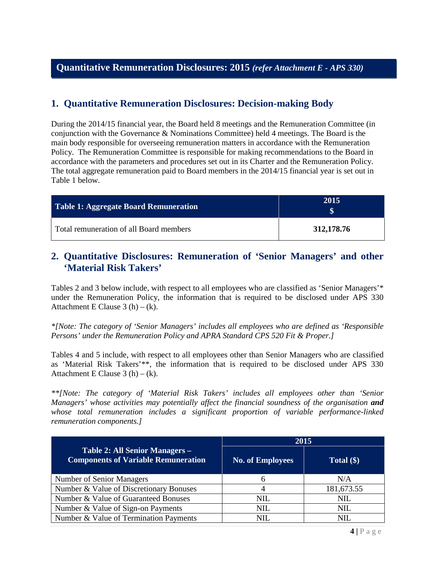## **1. Quantitative Remuneration Disclosures: Decision-making Body**

During the 2014/15 financial year, the Board held 8 meetings and the Remuneration Committee (in conjunction with the Governance & Nominations Committee) held 4 meetings. The Board is the main body responsible for overseeing remuneration matters in accordance with the Remuneration Policy. The Remuneration Committee is responsible for making recommendations to the Board in accordance with the parameters and procedures set out in its Charter and the Remuneration Policy. The total aggregate remuneration paid to Board members in the 2014/15 financial year is set out in Table 1 below.

| Table 1: Aggregate Board Remuneration   | 2015       |
|-----------------------------------------|------------|
| Total remuneration of all Board members | 312,178.76 |

#### **2. Quantitative Disclosures: Remuneration of 'Senior Managers' and other 'Material Risk Takers'**

Tables 2 and 3 below include, with respect to all employees who are classified as 'Senior Managers'\* under the Remuneration Policy, the information that is required to be disclosed under APS 330 Attachment E Clause  $3(h) - (k)$ .

*\*[Note: The category of 'Senior Managers' includes all employees who are defined as 'Responsible Persons' under the Remuneration Policy and APRA Standard CPS 520 Fit & Proper.]*

Tables 4 and 5 include, with respect to all employees other than Senior Managers who are classified as 'Material Risk Takers'\*\*, the information that is required to be disclosed under APS 330 Attachment E Clause  $3(h) - (k)$ .

*\*\*[Note: The category of 'Material Risk Takers' includes all employees other than 'Senior Managers' whose activities may potentially affect the financial soundness of the organisation and whose total remuneration includes a significant proportion of variable performance-linked remuneration components.]*

|                                                                              | 2015                    |              |  |
|------------------------------------------------------------------------------|-------------------------|--------------|--|
| Table 2: All Senior Managers -<br><b>Components of Variable Remuneration</b> | <b>No. of Employees</b> | Total $(\$)$ |  |
| <b>Number of Senior Managers</b>                                             | 6                       | N/A          |  |
| Number & Value of Discretionary Bonuses                                      |                         | 181,673.55   |  |
| Number & Value of Guaranteed Bonuses                                         | NIL                     | <b>NIL</b>   |  |
| Number & Value of Sign-on Payments                                           | NH.                     | <b>NIL</b>   |  |
| Number & Value of Termination Payments                                       | NH.                     | NIL.         |  |